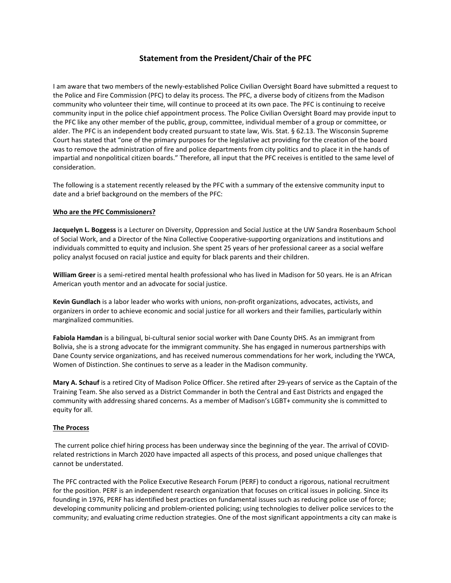## **Statement from the President/Chair of the PFC**

I am aware that two members of the newly-established Police Civilian Oversight Board have submitted a request to the Police and Fire Commission (PFC) to delay its process. The PFC, a diverse body of citizens from the Madison community who volunteer their time, will continue to proceed at its own pace. The PFC is continuing to receive community input in the police chief appointment process. The Police Civilian Oversight Board may provide input to the PFC like any other member of the public, group, committee, individual member of a group or committee, or alder. The PFC is an independent body created pursuant to state law, Wis. Stat. § 62.13. The Wisconsin Supreme Court has stated that "one of the primary purposes for the legislative act providing for the creation of the board was to remove the administration of fire and police departments from city politics and to place it in the hands of impartial and nonpolitical citizen boards." Therefore, all input that the PFC receives is entitled to the same level of consideration.

The following is a statement recently released by the PFC with a summary of the extensive community input to date and a brief background on the members of the PFC:

## **Who are the PFC Commissioners?**

**Jacquelyn L. Boggess** is a Lecturer on Diversity, Oppression and Social Justice at the UW Sandra Rosenbaum School of Social Work, and a Director of the Nina Collective Cooperative-supporting organizations and institutions and individuals committed to equity and inclusion. She spent 25 years of her professional career as a social welfare policy analyst focused on racial justice and equity for black parents and their children.

**William Greer** is a semi-retired mental health professional who has lived in Madison for 50 years. He is an African American youth mentor and an advocate for social justice.

**Kevin Gundlach** is a labor leader who works with unions, non-profit organizations, advocates, activists, and organizers in order to achieve economic and social justice for all workers and their families, particularly within marginalized communities.

**Fabiola Hamdan** is a bilingual, bi-cultural senior social worker with Dane County DHS. As an immigrant from Bolivia, she is a strong advocate for the immigrant community. She has engaged in numerous partnerships with Dane County service organizations, and has received numerous commendations for her work, including the YWCA, Women of Distinction. She continues to serve as a leader in the Madison community.

**Mary A. Schauf** is a retired City of Madison Police Officer. She retired after 29-years of service as the Captain of the Training Team. She also served as a District Commander in both the Central and East Districts and engaged the community with addressing shared concerns. As a member of Madison's LGBT+ community she is committed to equity for all.

## **The Process**

The current police chief hiring process has been underway since the beginning of the year. The arrival of COVIDrelated restrictions in March 2020 have impacted all aspects of this process, and posed unique challenges that cannot be understated.

The PFC contracted with the Police Executive Research Forum (PERF) to conduct a rigorous, national recruitment for the position. PERF is an independent research organization that focuses on critical issues in policing. Since its founding in 1976, PERF has identified best practices on fundamental issues such as reducing police use of force; developing community policing and problem-oriented policing; using technologies to deliver police services to the community; and evaluating crime reduction strategies. One of the most significant appointments a city can make is